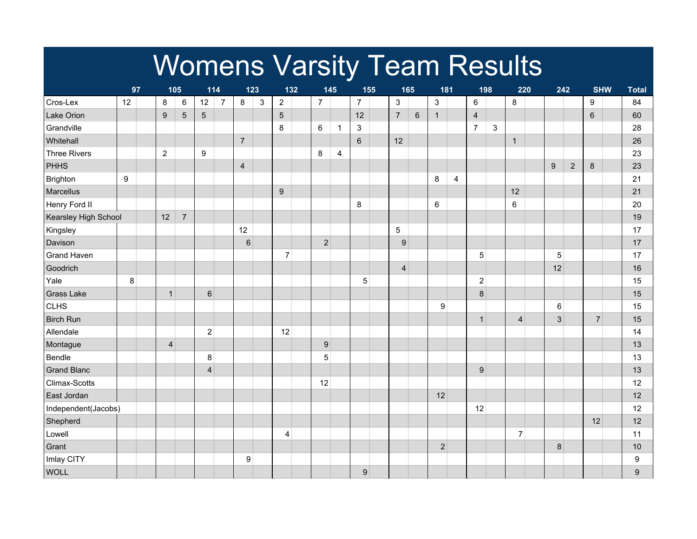|                      |    |    | <b>Womens Varsity Team Results</b> |                |                |                |                |     |                |                |                |                |     |                |                |                |     |                |     |                |     |   |                 |            |              |
|----------------------|----|----|------------------------------------|----------------|----------------|----------------|----------------|-----|----------------|----------------|----------------|----------------|-----|----------------|----------------|----------------|-----|----------------|-----|----------------|-----|---|-----------------|------------|--------------|
|                      |    | 97 |                                    | 105            |                | 114            |                | 123 | 132            |                | 145            |                | 155 |                | 165            |                | 181 |                | 198 | 220            | 242 |   |                 | <b>SHW</b> | <b>Total</b> |
| Cros-Lex             | 12 |    | 8                                  | $\,6$          | 12             | $\overline{7}$ | $\bf 8$        | 3   | $\overline{2}$ | $\overline{7}$ |                | $\overline{7}$ |     | $\mathsf 3$    |                | 3              |     | 6              |     | $\bf 8$        |     |   | 9               |            | 84           |
| Lake Orion           |    |    | 9                                  | $\overline{5}$ | 5              |                |                |     | $\overline{5}$ |                |                | 12             |     | $\overline{7}$ | $6\phantom{1}$ | $\mathbf{1}$   |     | $\overline{4}$ |     |                |     |   | $6\phantom{1}6$ |            | 60           |
| Grandville           |    |    |                                    |                |                |                |                |     | 8              | 6              | $\overline{1}$ | 3              |     |                |                |                |     | $\overline{7}$ | 3   |                |     |   |                 |            | 28           |
| Whitehall            |    |    |                                    |                |                |                | $\overline{7}$ |     |                |                |                | 6              |     | 12             |                |                |     |                |     | $\mathbf{1}$   |     |   |                 |            | 26           |
| <b>Three Rivers</b>  |    |    | $\overline{2}$                     |                | 9              |                |                |     |                | 8              | 4              |                |     |                |                |                |     |                |     |                |     |   |                 |            | 23           |
| PHHS                 |    |    |                                    |                |                |                | $\overline{4}$ |     |                |                |                |                |     |                |                |                |     |                |     |                | 9   | 2 | 8               |            | 23           |
| Brighton             | 9  |    |                                    |                |                |                |                |     |                |                |                |                |     |                |                | 8              | 4   |                |     |                |     |   |                 |            | 21           |
| Marcellus            |    |    |                                    |                |                |                |                |     | 9              |                |                |                |     |                |                |                |     |                |     | 12             |     |   |                 |            | 21           |
| Henry Ford II        |    |    |                                    |                |                |                |                |     |                |                |                | 8              |     |                |                | 6              |     |                |     | 6              |     |   |                 |            | 20           |
| Kearsley High School |    |    | 12                                 | $\overline{7}$ |                |                |                |     |                |                |                |                |     |                |                |                |     |                |     |                |     |   |                 |            | 19           |
| Kingsley             |    |    |                                    |                |                |                | 12             |     |                |                |                |                |     | 5              |                |                |     |                |     |                |     |   |                 |            | 17           |
| Davison              |    |    |                                    |                |                |                | $6\phantom{1}$ |     |                | 2              |                |                |     | 9              |                |                |     |                |     |                |     |   |                 |            | 17           |
| <b>Grand Haven</b>   |    |    |                                    |                |                |                |                |     | $\overline{7}$ |                |                |                |     |                |                |                |     | 5              |     |                | 5   |   |                 |            | 17           |
| Goodrich             |    |    |                                    |                |                |                |                |     |                |                |                |                |     | $\overline{4}$ |                |                |     |                |     |                | 12  |   |                 |            | 16           |
| Yale                 | 8  |    |                                    |                |                |                |                |     |                |                |                | 5              |     |                |                |                |     | $\overline{c}$ |     |                |     |   |                 |            | 15           |
| <b>Grass Lake</b>    |    |    | $\mathbf{1}$                       |                | 6              |                |                |     |                |                |                |                |     |                |                |                |     | 8              |     |                |     |   |                 |            | 15           |
| <b>CLHS</b>          |    |    |                                    |                |                |                |                |     |                |                |                |                |     |                |                | 9              |     |                |     |                | 6   |   |                 |            | 15           |
| Birch Run            |    |    |                                    |                |                |                |                |     |                |                |                |                |     |                |                |                |     | $\mathbf{1}$   |     | $\overline{4}$ | 3   |   | $\overline{7}$  |            | 15           |
| Allendale            |    |    |                                    |                | $\overline{2}$ |                |                |     | 12             |                |                |                |     |                |                |                |     |                |     |                |     |   |                 |            | 14           |
| Montague             |    |    | 4                                  |                |                |                |                |     |                | 9              |                |                |     |                |                |                |     |                |     |                |     |   |                 |            | 13           |
| Bendle               |    |    |                                    |                | 8              |                |                |     |                | 5              |                |                |     |                |                |                |     |                |     |                |     |   |                 |            | 13           |
| <b>Grand Blanc</b>   |    |    |                                    |                | $\overline{4}$ |                |                |     |                |                |                |                |     |                |                |                |     | 9              |     |                |     |   |                 |            | 13           |
| Climax-Scotts        |    |    |                                    |                |                |                |                |     |                | 12             |                |                |     |                |                |                |     |                |     |                |     |   |                 |            | 12           |
| East Jordan          |    |    |                                    |                |                |                |                |     |                |                |                |                |     |                |                | 12             |     |                |     |                |     |   |                 |            | 12           |
| Independent(Jacobs)  |    |    |                                    |                |                |                |                |     |                |                |                |                |     |                |                |                |     | 12             |     |                |     |   |                 |            | 12           |
| Shepherd             |    |    |                                    |                |                |                |                |     |                |                |                |                |     |                |                |                |     |                |     |                |     |   | 12              |            | 12           |
| Lowell               |    |    |                                    |                |                |                |                |     | 4              |                |                |                |     |                |                |                |     |                |     | $\overline{7}$ |     |   |                 |            | 11           |
| Grant                |    |    |                                    |                |                |                |                |     |                |                |                |                |     |                |                | $\overline{2}$ |     |                |     |                | 8   |   |                 |            | 10           |
| Imlay CITY           |    |    |                                    |                |                |                | 9              |     |                |                |                |                |     |                |                |                |     |                |     |                |     |   |                 |            | 9            |
| <b>WOLL</b>          |    |    |                                    |                |                |                |                |     |                |                |                | 9              |     |                |                |                |     |                |     |                |     |   |                 |            | 9            |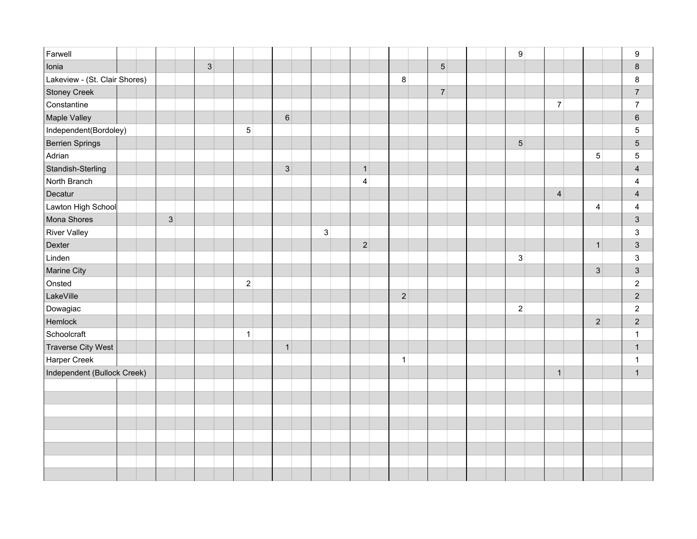| Farwell                       |  |              |              |                |                |            |                         |             |            |  | $\boldsymbol{9}$ |                         |                         | 9              |
|-------------------------------|--|--------------|--------------|----------------|----------------|------------|-------------------------|-------------|------------|--|------------------|-------------------------|-------------------------|----------------|
| lonia                         |  |              | $\mathbf{3}$ |                |                |            |                         |             | $\sqrt{5}$ |  |                  |                         |                         | $\bf 8$        |
| Lakeview - (St. Clair Shores) |  |              |              |                |                |            |                         | $\bf 8$     |            |  |                  |                         |                         | 8              |
| Stoney Creek                  |  |              |              |                |                |            |                         |             | 7          |  |                  |                         |                         | $\overline{7}$ |
| Constantine                   |  |              |              |                |                |            |                         |             |            |  |                  | $\overline{7}$          |                         | 7              |
| Maple Valley                  |  |              |              |                | $\,6\,$        |            |                         |             |            |  |                  |                         |                         | 6              |
| Independent(Bordoley)         |  |              |              | $\sqrt{5}$     |                |            |                         |             |            |  |                  |                         |                         | 5              |
| Berrien Springs               |  |              |              |                |                |            |                         |             |            |  | $\overline{5}$   |                         |                         | 5              |
| Adrian                        |  |              |              |                |                |            |                         |             |            |  |                  |                         | 5                       | 5              |
| Standish-Sterling             |  |              |              |                | $\mathfrak{Z}$ |            | $\mathbf{1}$            |             |            |  |                  |                         |                         | 4              |
| North Branch                  |  |              |              |                |                |            | $\overline{\mathbf{4}}$ |             |            |  |                  |                         |                         | 4              |
| Decatur                       |  |              |              |                |                |            |                         |             |            |  |                  | $\overline{\mathbf{4}}$ |                         | 4              |
| Lawton High School            |  |              |              |                |                |            |                         |             |            |  |                  |                         | $\overline{\mathbf{4}}$ | 4              |
| Mona Shores                   |  | $\mathbf{3}$ |              |                |                |            |                         |             |            |  |                  |                         |                         | $\mathbf{3}$   |
| <b>River Valley</b>           |  |              |              |                |                | $\sqrt{3}$ |                         |             |            |  |                  |                         |                         | $\mathsf 3$    |
| Dexter                        |  |              |              |                |                |            | $\sqrt{2}$              |             |            |  |                  |                         | $\mathbf{1}$            | 3              |
| Linden                        |  |              |              |                |                |            |                         |             |            |  | $\sqrt{3}$       |                         |                         | $\mathsf 3$    |
| Marine City                   |  |              |              |                |                |            |                         |             |            |  |                  |                         | $\mathbf{3}$            | 3              |
| Onsted                        |  |              |              | $\overline{2}$ |                |            |                         |             |            |  |                  |                         |                         | $\overline{2}$ |
| LakeVille                     |  |              |              |                |                |            |                         | $\sqrt{2}$  |            |  |                  |                         |                         | $\overline{2}$ |
| Dowagiac                      |  |              |              |                |                |            |                         |             |            |  | $\overline{2}$   |                         |                         | $\overline{2}$ |
| Hemlock                       |  |              |              |                |                |            |                         |             |            |  |                  |                         | $\overline{2}$          | $\overline{2}$ |
| Schoolcraft                   |  |              |              | $\mathbf 1$    |                |            |                         |             |            |  |                  |                         |                         | 1              |
| Traverse City West            |  |              |              |                | $\mathbf{1}$   |            |                         |             |            |  |                  |                         |                         | $\mathbf{1}$   |
| Harper Creek                  |  |              |              |                |                |            |                         | $\mathbf 1$ |            |  |                  |                         |                         | 1              |
| Independent (Bullock Creek)   |  |              |              |                |                |            |                         |             |            |  |                  | $\mathbf{1}$            |                         | $\mathbf{1}$   |
|                               |  |              |              |                |                |            |                         |             |            |  |                  |                         |                         |                |
|                               |  |              |              |                |                |            |                         |             |            |  |                  |                         |                         |                |
|                               |  |              |              |                |                |            |                         |             |            |  |                  |                         |                         |                |
|                               |  |              |              |                |                |            |                         |             |            |  |                  |                         |                         |                |
|                               |  |              |              |                |                |            |                         |             |            |  |                  |                         |                         |                |
|                               |  |              |              |                |                |            |                         |             |            |  |                  |                         |                         |                |
|                               |  |              |              |                |                |            |                         |             |            |  |                  |                         |                         |                |
|                               |  |              |              |                |                |            |                         |             |            |  |                  |                         |                         |                |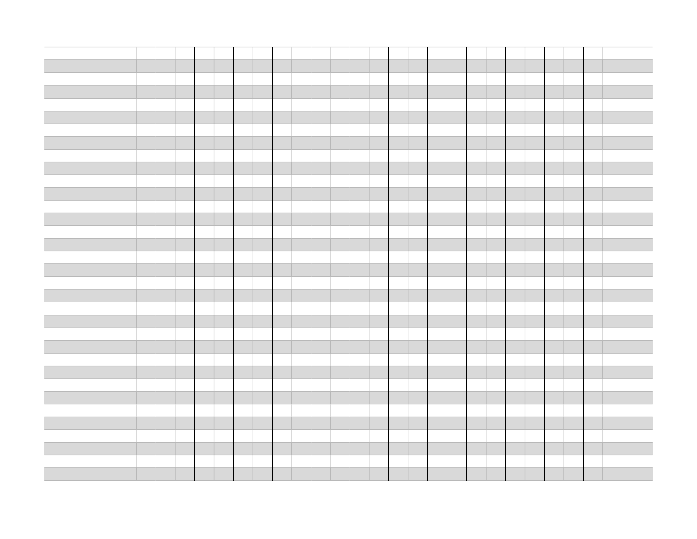| $\blacklozenge$<br>a a Tingga<br>$\mathbb{R}^n$ |
|-------------------------------------------------|
|                                                 |
|                                                 |
|                                                 |
|                                                 |
|                                                 |
|                                                 |
|                                                 |
|                                                 |
|                                                 |
|                                                 |
|                                                 |
|                                                 |
|                                                 |
|                                                 |
|                                                 |
|                                                 |
|                                                 |
|                                                 |
|                                                 |
|                                                 |
|                                                 |
|                                                 |
|                                                 |
|                                                 |
|                                                 |
|                                                 |
|                                                 |
|                                                 |
|                                                 |
|                                                 |
|                                                 |
|                                                 |
|                                                 |
|                                                 |
|                                                 |
|                                                 |
|                                                 |
|                                                 |
|                                                 |
|                                                 |
|                                                 |
|                                                 |
|                                                 |
|                                                 |
|                                                 |
|                                                 |
|                                                 |
|                                                 |
|                                                 |
|                                                 |